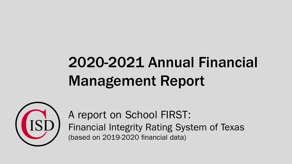## 2020-2021 Annual Financial Management Report



A report on School FIRST: Financial Integrity Rating System of Texas (based on 2019-2020 financial data)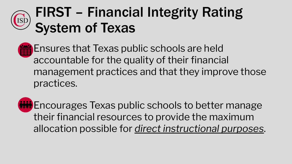#### FIRST – Financial Integrity Rating ISJ System of Texas

- Ensures that Texas public schools are held accountable for the quality of their financial management practices and that they improve those practices.
- **Min** Encourages Texas public schools to better manage their financial resources to provide the maximum allocation possible for *direct instructional purposes*.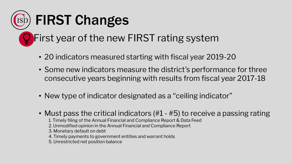

- 20 indicators measured starting with fiscal year 2019-20
- Some new indicators measure the district's performance for three consecutive years beginning with results from fiscal year 2017-18
- New type of indicator designated as a "ceiling indicator"
- Must pass the critical indicators (#1 #5) to receive a passing rating
	- 1. Timely filing of the Annual Financial and Compliance Report & Data Feed
	- 2. Unmodified opinion in the Annual Financial and Compliance Report
	- 3. Monetary default on debt
	- 4. Timely payments to government entities and warrant holds
	- 5. Unrestricted net position balance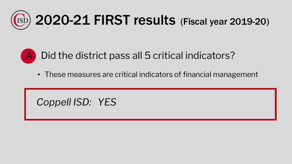

## Did the district pass all 5 critical indicators?

• These measures are critical indicators of financial management

#### *Coppell ISD: YES*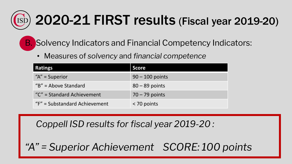# 2020-21 FIRST results (Fiscal year 2019-20)

**B.** Solvency Indicators and Financial Competency Indicators:

• Measures of *solvency* and *financial competence*

| <b>Ratings</b>                | <b>Score</b>      |
|-------------------------------|-------------------|
| " $A$ " = Superior            | $90 - 100$ points |
| $\mu$ B" = Above Standard     | $80 - 89$ points  |
| "C" = Standard Achievement    | $70 - 79$ points  |
| "F" = Substandard Achievement | < 70 points       |

*Coppell ISD results for fiscal year 2019-20 :*

*"A" = Superior Achievement SCORE: 100 points*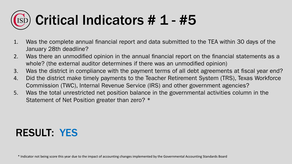# Critical Indicators # 1 - #5

- 1. Was the complete annual financial report and data submitted to the TEA within 30 days of the January 28th deadline?
- 2. Was there an unmodified opinion in the annual financial report on the financial statements as a whole? (the external auditor determines if there was an unmodified opinion)
- 3. Was the district in compliance with the payment terms of all debt agreements at fiscal year end?
- 4. Did the district make timely payments to the Teacher Retirement System (TRS), Texas Workforce Commission (TWC), Internal Revenue Service (IRS) and other government agencies?
- 5. Was the total unrestricted net position balance in the governmental activities column in the Statement of Net Position greater than zero? \*

#### RESULT: YES

\* Indicator not being score this year due to the impact of accounting changes implemented by the Governmental Accounting Standards Board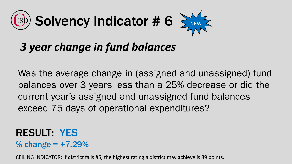

## *3 year change in fund balances*

Was the average change in (assigned and unassigned) fund balances over 3 years less than a 25% decrease or did the current year's assigned and unassigned fund balances exceed 75 days of operational expenditures?

### RESULT: YES

% change =  $+7.29%$ 

CEILING INDICATOR: If district fails #6, the highest rating a district may achieve is 89 points.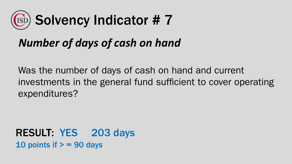

## *Number of days of cash on hand*

Was the number of days of cash on hand and current investments in the general fund sufficient to cover operating expenditures?

RESULT: YES 203 days 10 points if  $>$  = 90 days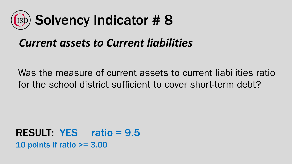

## *Current assets to Current liabilities*

Was the measure of current assets to current liabilities ratio for the school district sufficient to cover short-term debt?

RESULT: YES ratio = 9.5 10 points if ratio >= 3.00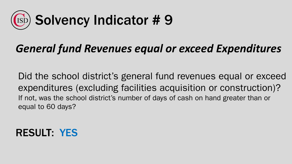

## *General fund Revenues equal or exceed Expenditures*

Did the school district's general fund revenues equal or exceed expenditures (excluding facilities acquisition or construction)? If not, was the school district's number of days of cash on hand greater than or equal to 60 days?

#### RESULT: YES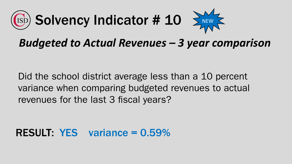



Did the school district average less than a 10 percent variance when comparing budgeted revenues to actual revenues for the last 3 fiscal years?

#### RESULT: YES variance = 0.59%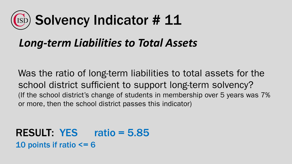# Solvency Indicator # 11

### *Long-term Liabilities to Total Assets*

Was the ratio of long-term liabilities to total assets for the school district sufficient to support long-term solvency? (If the school district's change of students in membership over 5 years was 7% or more, then the school district passes this indicator)

RESULT: YES ratio = 5.85 10 points if ratio  $\leq$  = 6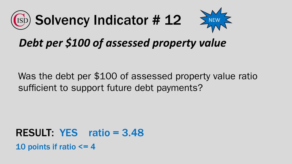



## *Debt per \$100 of assessed property value*

Was the debt per \$100 of assessed property value ratio sufficient to support future debt payments?

RESULT: YES ratio = 3.48 10 points if ratio  $\leq$  = 4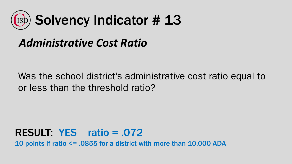

## *Administrative Cost Ratio*

Was the school district's administrative cost ratio equal to or less than the threshold ratio?

#### RESULT: YES ratio = .072 10 points if ratio <= .0855 for a district with more than 10,000 ADA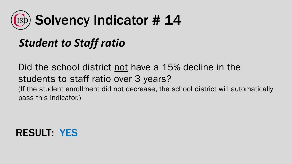

## *Student to Staff ratio*

Did the school district not have a 15% decline in the students to staff ratio over 3 years? (If the student enrollment did not decrease, the school district will automatically pass this indicator.)

#### RESULT: YES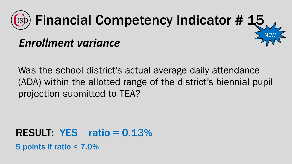

Was the school district's actual average daily attendance (ADA) within the allotted range of the district's biennial pupil projection submitted to TEA?

RESULT: YES ratio = 0.13% 5 points if ratio < 7.0%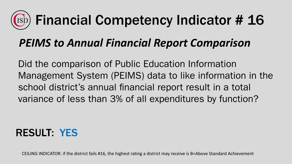#### Financial Competency Indicator # 16 **IS**

## *PEIMS to Annual Financial Report Comparison*

Did the comparison of Public Education Information Management System (PEIMS) data to like information in the school district's annual financial report result in a total variance of less than 3% of all expenditures by function?

#### RESULT: YES

CEILING INDICATOR: if the district fails #16, the highest rating a district may receive is B=Above Standard Achievement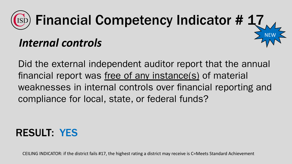

Did the external independent auditor report that the annual financial report was free of any instance(s) of material weaknesses in internal controls over financial reporting and compliance for local, state, or federal funds?

#### RESULT: YES

CEILING INDICATOR: if the district fails #17, the highest rating a district may receive is C=Meets Standard Achievement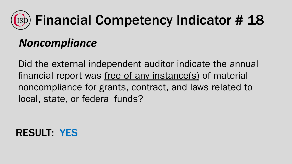#### Financial Competency Indicator # 18 *ISC*

## *Noncompliance*

Did the external independent auditor indicate the annual financial report was free of any instance(s) of material noncompliance for grants, contract, and laws related to local, state, or federal funds?

#### RESULT: YES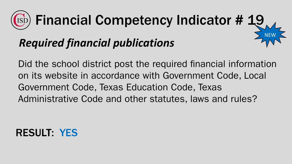#### Financial Competency Indicator # 19 **ISC** NEW *Required financial publications*

Did the school district post the required financial information on its website in accordance with Government Code, Local Government Code, Texas Education Code, Texas Administrative Code and other statutes, laws and rules?

#### RESULT: YES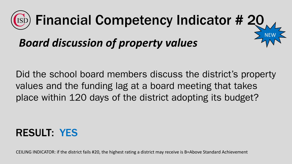

Did the school board members discuss the district's property values and the funding lag at a board meeting that takes place within 120 days of the district adopting its budget?

#### RESULT: YES

CEILING INDICATOR: if the district fails #20, the highest rating a district may receive is B=Above Standard Achievement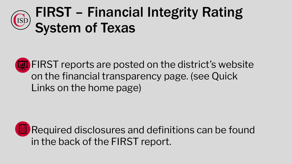#### FIRST – Financial Integrity Rating [ISJ System of Texas

**EXT** FIRST reports are posted on the district's website on the financial transparency page. (see Quick Links on the home page)

**ED** Required disclosures and definitions can be found in the back of the FIRST report.